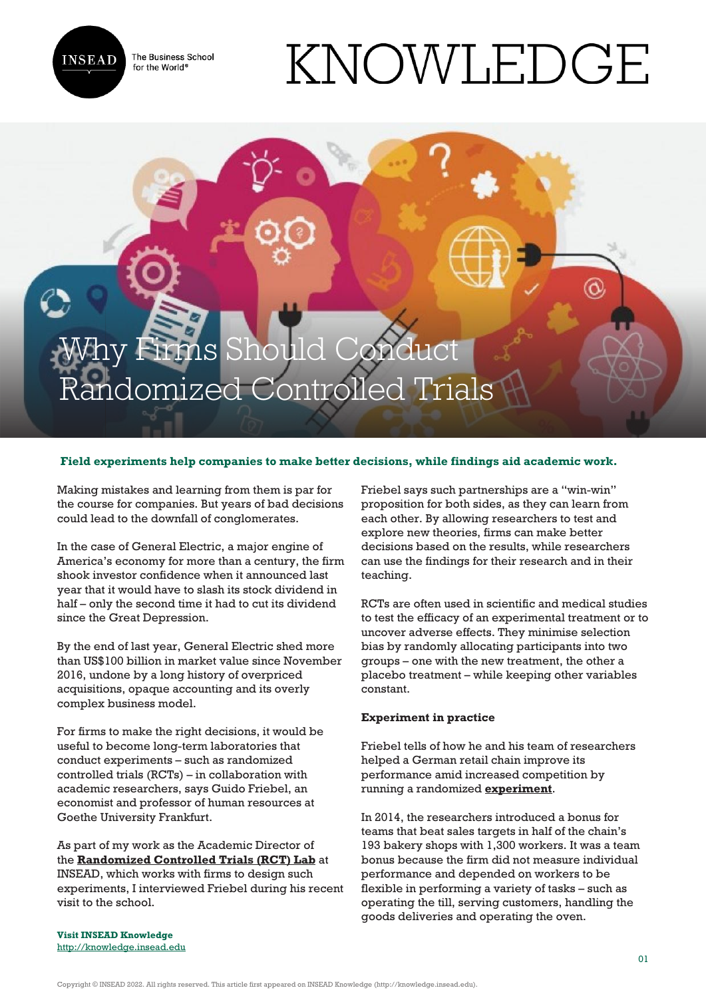

The Business School for the World<sup>®</sup>

# KNOWLEDGE

## y Firms Should Cond Randomized Controlled Trials

### **Field experiments help companies to make better decisions, while findings aid academic work.**

Making mistakes and learning from them is par for the course for companies. But years of bad decisions could lead to the downfall of conglomerates.

In the case of General Electric, a major engine of America's economy for more than a century, the firm shook investor confidence when it announced last year that it would have to slash its stock dividend in half – only the second time it had to cut its dividend since the Great Depression.

By the end of last year, General Electric shed more than US\$100 billion in market value since November 2016, undone by a long history of overpriced acquisitions, opaque accounting and its overly complex business model.

For firms to make the right decisions, it would be useful to become long-term laboratories that conduct experiments – such as randomized controlled trials (RCTs) – in collaboration with academic researchers, says Guido Friebel, an economist and professor of human resources at Goethe University Frankfurt.

As part of my work as the Academic Director of the **[Randomized Controlled Trials \(RCT\) Lab](http://centres.insead.edu/randomized-controlled-trials-lab/)** at INSEAD, which works with firms to design such experiments, I interviewed Friebel during his recent visit to the school.

Friebel says such partnerships are a "win-win" proposition for both sides, as they can learn from each other. By allowing researchers to test and explore new theories, firms can make better decisions based on the results, while researchers can use the findings for their research and in their teaching.

RCTs are often used in scientific and medical studies to test the efficacy of an experimental treatment or to uncover adverse effects. They minimise selection bias by randomly allocating participants into two groups – one with the new treatment, the other a placebo treatment – while keeping other variables constant.

#### **Experiment in practice**

Friebel tells of how he and his team of researchers helped a German retail chain improve its performance amid increased competition by running a randomized **[experiment](https://papers.ssrn.com/sol3/papers.cfm?abstract_id=2649884)**.

In 2014, the researchers introduced a bonus for teams that beat sales targets in half of the chain's 193 bakery shops with 1,300 workers. It was a team bonus because the firm did not measure individual performance and depended on workers to be flexible in performing a variety of tasks – such as operating the till, serving customers, handling the goods deliveries and operating the oven.

**Visit INSEAD Knowledge** <http://knowledge.insead.edu>

Copyright © INSEAD 2022. All rights reserved. This article first appeared on INSEAD Knowledge (http://knowledge.insead.edu).